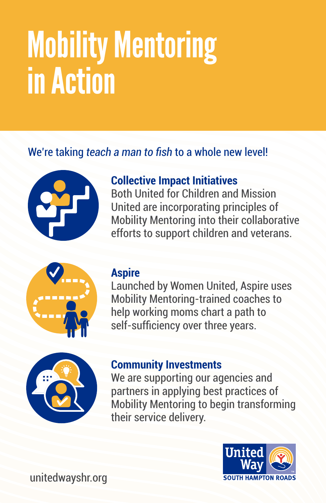# Mobility Mentoring in Action

# We're taking *teach a man to fish* to a whole new level!



## **Collective Impact Initiatives**

Both United for Children and Mission United are incorporating principles of Mobility Mentoring into their collaborative efforts to support children and veterans.



#### **Aspire**

Launched by Women United, Aspire uses Mobility Mentoring-trained coaches to help working moms chart a path to self-sufficiency over three years.



## **Community Investments**

We are supporting our agencies and partners in applying best practices of Mobility Mentoring to begin transforming their service delivery.